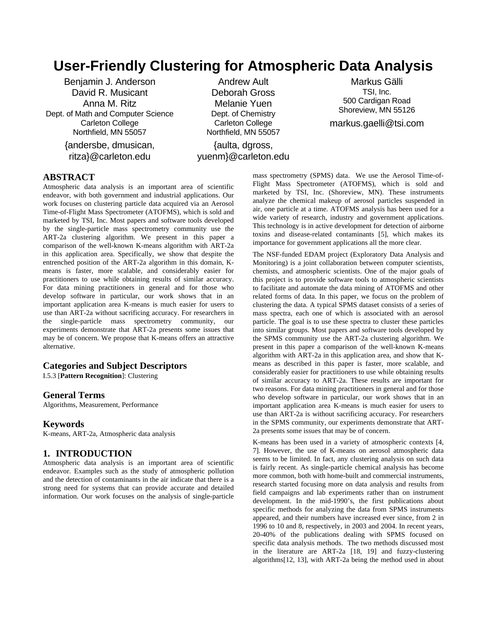# **User-Friendly Clustering for Atmospheric Data Analysis**

Benjamin J. Anderson David R. Musicant Anna M. Ritz Dept. of Math and Computer Science Carleton College Northfield, MN 55057

> {andersbe, dmusican, ritza}@carleton.edu

Andrew Ault Deborah Gross Melanie Yuen Dept. of Chemistry Carleton College Northfield, MN 55057

{aulta, dgross, yuenm}@carleton.edu

Markus Gälli TSI, Inc. 500 Cardigan Road Shoreview, MN 55126 markus.gaelli@tsi.com

# **ABSTRACT**

Atmospheric data analysis is an important area of scientific endeavor, with both government and industrial applications. Our work focuses on clustering particle data acquired via an Aerosol Time-of-Flight Mass Spectrometer (ATOFMS), which is sold and marketed by TSI, Inc. Most papers and software tools developed by the single-particle mass spectrometry community use the ART-2a clustering algorithm. We present in this paper a comparison of the well-known K-means algorithm with ART-2a in this application area. Specifically, we show that despite the entrenched position of the ART-2a algorithm in this domain, Kmeans is faster, more scalable, and considerably easier for practitioners to use while obtaining results of similar accuracy. For data mining practitioners in general and for those who develop software in particular, our work shows that in an important application area K-means is much easier for users to use than ART-2a without sacrificing accuracy. For researchers in the single-particle mass spectrometry community, our experiments demonstrate that ART-2a presents some issues that may be of concern. We propose that K-means offers an attractive alternative.

#### **Categories and Subject Descriptors**

I.5.3 [**Pattern Recognition**]: Clustering

## **General Terms**

Algorithms, Measurement, Performance

#### **Keywords**

K-means, ART-2a, Atmospheric data analysis

## **1. INTRODUCTION**

Atmospheric data analysis is an important area of scientific endeavor. Examples such as the study of atmospheric pollution and the detection of contaminants in the air indicate that there is a strong need for systems that can provide accurate and detailed information. Our work focuses on the analysis of single-particle mass spectrometry (SPMS) data. We use the Aerosol Time-of-Flight Mass Spectrometer (ATOFMS), which is sold and marketed by TSI, Inc. (Shoreview, MN). These instruments analyze the chemical makeup of aerosol particles suspended in air, one particle at a time. ATOFMS analysis has been used for a wide variety of research, industry and government applications. This technology is in active development for detection of airborne toxins and disease-related contaminants [5], which makes its importance for government applications all the more clear.

The NSF-funded EDAM project (Exploratory Data Analysis and Monitoring) is a joint collaboration between computer scientists, chemists, and atmospheric scientists. One of the major goals of this project is to provide software tools to atmospheric scientists to facilitate and automate the data mining of ATOFMS and other related forms of data. In this paper, we focus on the problem of clustering the data. A typical SPMS dataset consists of a series of mass spectra, each one of which is associated with an aerosol particle. The goal is to use these spectra to cluster these particles into similar groups. Most papers and software tools developed by the SPMS community use the ART-2a clustering algorithm. We present in this paper a comparison of the well-known K-means algorithm with ART-2a in this application area, and show that Kmeans as described in this paper is faster, more scalable, and considerably easier for practitioners to use while obtaining results of similar accuracy to ART-2a. These results are important for two reasons. For data mining practitioners in general and for those who develop software in particular, our work shows that in an important application area K-means is much easier for users to use than ART-2a is without sacrificing accuracy. For researchers in the SPMS community, our experiments demonstrate that ART-2a presents some issues that may be of concern.

K-means has been used in a variety of atmospheric contexts [4, 7]. However, the use of K-means on aerosol atmospheric data seems to be limited. In fact, any clustering analysis on such data is fairly recent. As single-particle chemical analysis has become more common, both with home-built and commercial instruments, research started focusing more on data analysis and results from field campaigns and lab experiments rather than on instrument development. In the mid-1990's, the first publications about specific methods for analyzing the data from SPMS instruments appeared, and their numbers have increased ever since, from 2 in 1996 to 10 and 8, respectively, in 2003 and 2004. In recent years, 20-40% of the publications dealing with SPMS focused on specific data analysis methods. The two methods discussed most in the literature are ART-2a [18, 19] and fuzzy-clustering algorithms[12, 13], with ART-2a being the method used in about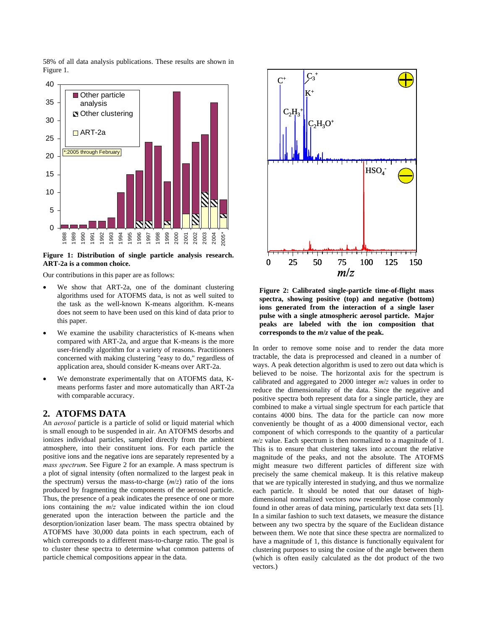58% of all data analysis publications. These results are shown in Figure 1.



**Figure 1: Distribution of single particle analysis research. ART-2a is a common choice.** 

Our contributions in this paper are as follows:

- We show that ART-2a, one of the dominant clustering algorithms used for ATOFMS data, is not as well suited to the task as the well-known K-means algorithm. K-means does not seem to have been used on this kind of data prior to this paper.
- We examine the usability characteristics of K-means when compared with ART-2a, and argue that K-means is the more user-friendly algorithm for a variety of reasons. Practitioners concerned with making clustering "easy to do," regardless of application area, should consider K-means over ART-2a.
- We demonstrate experimentally that on ATOFMS data, Kmeans performs faster and more automatically than ART-2a with comparable accuracy.

## **2. ATOFMS DATA**

An *aerosol* particle is a particle of solid or liquid material which is small enough to be suspended in air. An ATOFMS desorbs and ionizes individual particles, sampled directly from the ambient atmosphere, into their constituent ions. For each particle the positive ions and the negative ions are separately represented by a *mass spectrum*. See Figure 2 for an example. A mass spectrum is a plot of signal intensity (often normalized to the largest peak in the spectrum) versus the mass-to-charge (*m*/*z*) ratio of the ions produced by fragmenting the components of the aerosol particle. Thus, the presence of a peak indicates the presence of one or more ions containing the *m*/*z* value indicated within the ion cloud generated upon the interaction between the particle and the desorption/ionization laser beam. The mass spectra obtained by ATOFMS have 30,000 data points in each spectrum, each of which corresponds to a different mass-to-charge ratio. The goal is to cluster these spectra to determine what common patterns of particle chemical compositions appear in the data.



**Figure 2: Calibrated single-particle time-of-flight mass spectra, showing positive (top) and negative (bottom) ions generated from the interaction of a single laser pulse with a single atmospheric aerosol particle. Major peaks are labeled with the ion composition that corresponds to the** *m***/***z* **value of the peak.** 

In order to remove some noise and to render the data more tractable, the data is preprocessed and cleaned in a number of ways. A peak detection algorithm is used to zero out data which is believed to be noise. The horizontal axis for the spectrum is calibrated and aggregated to 2000 integer *m*/*z* values in order to reduce the dimensionality of the data. Since the negative and positive spectra both represent data for a single particle, they are combined to make a virtual single spectrum for each particle that contains 4000 bins. The data for the particle can now more conveniently be thought of as a 4000 dimensional vector, each component of which corresponds to the quantity of a particular  $m/z$  value. Each spectrum is then normalized to a magnitude of 1. This is to ensure that clustering takes into account the relative magnitude of the peaks, and not the absolute. The ATOFMS might measure two different particles of different size with precisely the same chemical makeup. It is this relative makeup that we are typically interested in studying, and thus we normalize each particle. It should be noted that our dataset of highdimensional normalized vectors now resembles those commonly found in other areas of data mining, particularly text data sets [1]. In a similar fashion to such text datasets, we measure the distance between any two spectra by the square of the Euclidean distance between them. We note that since these spectra are normalized to have a magnitude of 1, this distance is functionally equivalent for clustering purposes to using the cosine of the angle between them (which is often easily calculated as the dot product of the two vectors.)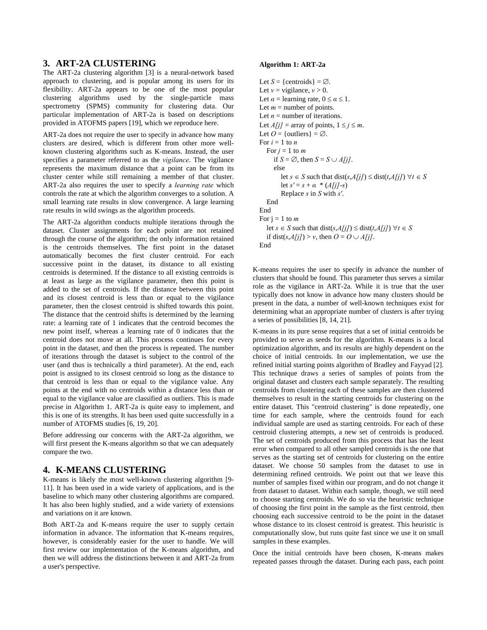# **3. ART-2A CLUSTERING**

The ART-2a clustering algorithm [3] is a neural-network based approach to clustering, and is popular among its users for its flexibility. ART-2a appears to be one of the most popular clustering algorithms used by the single-particle mass spectrometry (SPMS) community for clustering data. Our particular implementation of ART-2a is based on descriptions provided in ATOFMS papers [19], which we reproduce here.

ART-2a does not require the user to specify in advance how many clusters are desired, which is different from other more wellknown clustering algorithms such as K-means. Instead, the user specifies a parameter referred to as the *vigilance*. The vigilance represents the maximum distance that a point can be from its cluster center while still remaining a member of that cluster. ART-2a also requires the user to specify a *learning rate* which controls the rate at which the algorithm converges to a solution. A small learning rate results in slow convergence. A large learning rate results in wild swings as the algorithm proceeds.

The ART-2a algorithm conducts multiple iterations through the dataset. Cluster assignments for each point are not retained through the course of the algorithm; the only information retained is the centroids themselves. The first point in the dataset automatically becomes the first cluster centroid. For each successive point in the dataset, its distance to all existing centroids is determined. If the distance to all existing centroids is at least as large as the vigilance parameter, then this point is added to the set of centroids. If the distance between this point and its closest centroid is less than or equal to the vigilance parameter, then the closest centroid is shifted towards this point. The distance that the centroid shifts is determined by the learning rate: a learning rate of 1 indicates that the centroid becomes the new point itself, whereas a learning rate of 0 indicates that the centroid does not move at all. This process continues for every point in the dataset, and then the process is repeated. The number of iterations through the dataset is subject to the control of the user (and thus is technically a third parameter). At the end, each point is assigned to its closest centroid so long as the distance to that centroid is less than or equal to the vigilance value. Any points at the end with no centroids within a distance less than or equal to the vigilance value are classified as outliers. This is made precise in Algorithm 1. ART-2a is quite easy to implement, and this is one of its strengths. It has been used quite successfully in a number of ATOFMS studies [6, 19, 20].

Before addressing our concerns with the ART-2a algorithm, we will first present the K-means algorithm so that we can adequately compare the two.

# **4. K-MEANS CLUSTERING**

K-means is likely the most well-known clustering algorithm [9- 11]. It has been used in a wide variety of applications, and is the baseline to which many other clustering algorithms are compared. It has also been highly studied, and a wide variety of extensions and variations on it are known.

Both ART-2a and K-means require the user to supply certain information in advance. The information that K-means requires, however, is considerably easier for the user to handle. We will first review our implementation of the K-means algorithm, and then we will address the distinctions between it and ART-2a from a user's perspective.

#### **Algorithm 1: ART-2a**

```
Let S = \{ centroids\} = \emptyset.
Let v = vigilance, v > 0.
Let \alpha = learning rate, 0 \le \alpha \le 1.
Let m = number of points.
Let n = number of iterations.
Let A/j = array of points, 1 \le j \le m.
Let Q = \{\text{outliers}\} = \emptyset.
For i = 1 to nFor j = 1 to mif S = \emptyset, then S = S \cup A[j].
      else 
         let s ∈ S such that dist(s,A[j]) ≤ dist(t,A[j]) ∀t ∈ S
        let s' = s + \alpha * (A[i] - s) Replace s in S with s'. 
   End 
End 
For j = 1 to m
   let s ∈ S such that dist(s,A[j]) ≤ dist(t,A[j]) ∀t ∈ S 
  if dist(s,A[j]) > v, then O = O \cup A[j].
End
```
K-means requires the user to specify in advance the number of clusters that should be found. This parameter thus serves a similar role as the vigilance in ART-2a. While it is true that the user typically does not know in advance how many clusters should be present in the data, a number of well-known techniques exist for determining what an appropriate number of clusters is after trying a series of possibilities [8, 14, 21].

K-means in its pure sense requires that a set of initial centroids be provided to serve as seeds for the algorithm. K-means is a local optimization algorithm, and its results are highly dependent on the choice of initial centroids. In our implementation, we use the refined initial starting points algorithm of Bradley and Fayyad [2]. This technique draws a series of samples of points from the original dataset and clusters each sample separately. The resulting centroids from clustering each of these samples are then clustered themselves to result in the starting centroids for clustering on the entire dataset. This "centroid clustering" is done repeatedly, one time for each sample, where the centroids found for each individual sample are used as starting centroids. For each of these centroid clustering attempts, a new set of centroids is produced. The set of centroids produced from this process that has the least error when compared to all other sampled centroids is the one that serves as the starting set of centroids for clustering on the entire dataset. We choose 50 samples from the dataset to use in determining refined centroids. We point out that we leave this number of samples fixed within our program, and do not change it from dataset to dataset. Within each sample, though, we still need to choose starting centroids. We do so via the heuristic technique of choosing the first point in the sample as the first centroid, then choosing each successive centroid to be the point in the dataset whose distance to its closest centroid is greatest. This heuristic is computationally slow, but runs quite fast since we use it on small samples in these examples.

Once the initial centroids have been chosen, K-means makes repeated passes through the dataset. During each pass, each point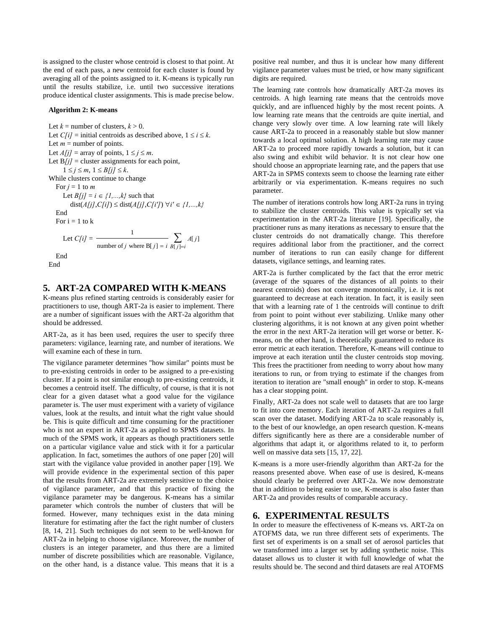is assigned to the cluster whose centroid is closest to that point. At the end of each pass, a new centroid for each cluster is found by averaging all of the points assigned to it. K-means is typically run until the results stabilize, i.e. until two successive iterations produce identical cluster assignments. This is made precise below.

#### **Algorithm 2: K-means**

Let  $k =$  number of clusters,  $k > 0$ . Let  $C[i]$  = initial centroids as described above,  $1 \le i \le k$ . Let  $m =$  number of points. Let  $A[j]$  = array of points,  $1 \le j \le m$ . Let  $B[j]$  = cluster assignments for each point,  $1 \leq j \leq m, 1 \leq B[j] \leq k.$ While clusters continue to change For  $j = 1$  to  $m$ Let  $B[j] = i \in \{1, ..., k\}$  such that dist(*A[j]*,*C[i]*) ≤ dist(*A[j]*,*C[i']*) ∀*i'* ∈ *{1,...,k}* End For  $i = 1$  to  $k$ Let  $C[i]$  =  $[$  $\frac{1}{\sum A[j]}$ number of *j* where  $B[j] = i B[j] = i$ *A j*  $\frac{1}{j \text{ where } B[j] = i} \sum_{B[j] = j}$  End End

# **5. ART-2A COMPARED WITH K-MEANS**

K-means plus refined starting centroids is considerably easier for practitioners to use, though ART-2a is easier to implement. There are a number of significant issues with the ART-2a algorithm that should be addressed.

ART-2a, as it has been used, requires the user to specify three parameters: vigilance, learning rate, and number of iterations. We will examine each of these in turn.

The vigilance parameter determines "how similar" points must be to pre-existing centroids in order to be assigned to a pre-existing cluster. If a point is not similar enough to pre-existing centroids, it becomes a centroid itself. The difficulty, of course, is that it is not clear for a given dataset what a good value for the vigilance parameter is. The user must experiment with a variety of vigilance values, look at the results, and intuit what the right value should be. This is quite difficult and time consuming for the practitioner who is not an expert in ART-2a as applied to SPMS datasets. In much of the SPMS work, it appears as though practitioners settle on a particular vigilance value and stick with it for a particular application. In fact, sometimes the authors of one paper [20] will start with the vigilance value provided in another paper [19]. We will provide evidence in the experimental section of this paper that the results from ART-2a are extremely sensitive to the choice of vigilance parameter, and that this practice of fixing the vigilance parameter may be dangerous. K-means has a similar parameter which controls the number of clusters that will be formed. However, many techniques exist in the data mining literature for estimating after the fact the right number of clusters [8, 14, 21]. Such techniques do not seem to be well-known for ART-2a in helping to choose vigilance. Moreover, the number of clusters is an integer parameter, and thus there are a limited number of discrete possibilities which are reasonable. Vigilance, on the other hand, is a distance value. This means that it is a positive real number, and thus it is unclear how many different vigilance parameter values must be tried, or how many significant digits are required.

The learning rate controls how dramatically ART-2a moves its centroids. A high learning rate means that the centroids move quickly, and are influenced highly by the most recent points. A low learning rate means that the centroids are quite inertial, and change very slowly over time. A low learning rate will likely cause ART-2a to proceed in a reasonably stable but slow manner towards a local optimal solution. A high learning rate may cause ART-2a to proceed more rapidly towards a solution, but it can also swing and exhibit wild behavior. It is not clear how one should choose an appropriate learning rate, and the papers that use ART-2a in SPMS contexts seem to choose the learning rate either arbitrarily or via experimentation. K-means requires no such parameter.

The number of iterations controls how long ART-2a runs in trying to stabilize the cluster centroids. This value is typically set via experimentation in the ART-2a literature [19]. Specifically, the practitioner runs as many iterations as necessary to ensure that the cluster centroids do not dramatically change. This therefore requires additional labor from the practitioner, and the correct number of iterations to run can easily change for different datasets, vigilance settings, and learning rates.

ART-2a is further complicated by the fact that the error metric (average of the squares of the distances of all points to their nearest centroids) does not converge monotonically, i.e. it is not guaranteed to decrease at each iteration. In fact, it is easily seen that with a learning rate of 1 the centroids will continue to drift from point to point without ever stabilizing. Unlike many other clustering algorithms, it is not known at any given point whether the error in the next ART-2a iteration will get worse or better. Kmeans, on the other hand, is theoretically guaranteed to reduce its error metric at each iteration. Therefore, K-means will continue to improve at each iteration until the cluster centroids stop moving. This frees the practitioner from needing to worry about how many iterations to run, or from trying to estimate if the changes from iteration to iteration are "small enough" in order to stop. K-means has a clear stopping point.

Finally, ART-2a does not scale well to datasets that are too large to fit into core memory. Each iteration of ART-2a requires a full scan over the dataset. Modifying ART-2a to scale reasonably is, to the best of our knowledge, an open research question. K-means differs significantly here as there are a considerable number of algorithms that adapt it, or algorithms related to it, to perform well on massive data sets [15, 17, 22].

K-means is a more user-friendly algorithm than ART-2a for the reasons presented above. When ease of use is desired, K-means should clearly be preferred over ART-2a. We now demonstrate that in addition to being easier to use, K-means is also faster than ART-2a and provides results of comparable accuracy.

## **6. EXPERIMENTAL RESULTS**

In order to measure the effectiveness of K-means vs. ART-2a on ATOFMS data, we run three different sets of experiments. The first set of experiments is on a small set of aerosol particles that we transformed into a larger set by adding synthetic noise. This dataset allows us to cluster it with full knowledge of what the results should be. The second and third datasets are real ATOFMS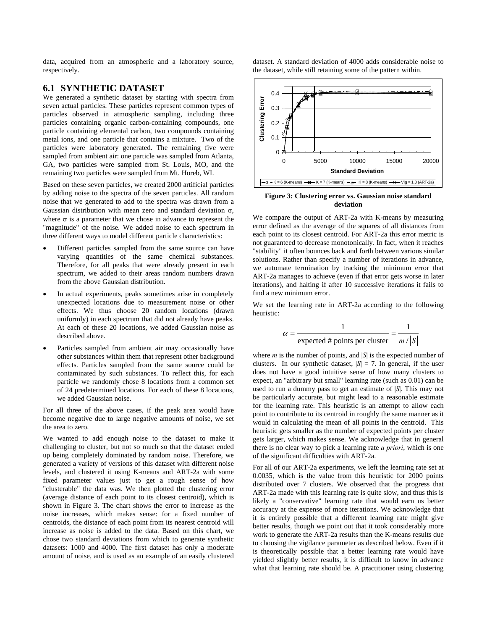data, acquired from an atmospheric and a laboratory source, respectively.

# **6.1 SYNTHETIC DATASET**

We generated a synthetic dataset by starting with spectra from seven actual particles. These particles represent common types of particles observed in atmospheric sampling, including three particles containing organic carbon-containing compounds, one particle containing elemental carbon, two compounds containing metal ions, and one particle that contains a mixture. Two of the particles were laboratory generated. The remaining five were sampled from ambient air: one particle was sampled from Atlanta, GA, two particles were sampled from St. Louis, MO, and the remaining two particles were sampled from Mt. Horeb, WI.

Based on these seven particles, we created 2000 artificial particles by adding noise to the spectra of the seven particles. All random noise that we generated to add to the spectra was drawn from a Gaussian distribution with mean zero and standard deviation  $\sigma$ , where  $\sigma$  is a parameter that we chose in advance to represent the "magnitude" of the noise. We added noise to each spectrum in three different ways to model different particle characteristics:

- Different particles sampled from the same source can have varying quantities of the same chemical substances. Therefore, for all peaks that were already present in each spectrum, we added to their areas random numbers drawn from the above Gaussian distribution.
- In actual experiments, peaks sometimes arise in completely unexpected locations due to measurement noise or other effects. We thus choose 20 random locations (drawn uniformly) in each spectrum that did not already have peaks. At each of these 20 locations, we added Gaussian noise as described above.
- Particles sampled from ambient air may occasionally have other substances within them that represent other background effects. Particles sampled from the same source could be contaminated by such substances. To reflect this, for each particle we randomly chose 8 locations from a common set of 24 predetermined locations. For each of these 8 locations, we added Gaussian noise.

For all three of the above cases, if the peak area would have become negative due to large negative amounts of noise, we set the area to zero.

We wanted to add enough noise to the dataset to make it challenging to cluster, but not so much so that the dataset ended up being completely dominated by random noise. Therefore, we generated a variety of versions of this dataset with different noise levels, and clustered it using K-means and ART-2a with some fixed parameter values just to get a rough sense of how "clusterable" the data was. We then plotted the clustering error (average distance of each point to its closest centroid), which is shown in Figure 3. The chart shows the error to increase as the noise increases, which makes sense: for a fixed number of centroids, the distance of each point from its nearest centroid will increase as noise is added to the data. Based on this chart, we chose two standard deviations from which to generate synthetic datasets: 1000 and 4000. The first dataset has only a moderate amount of noise, and is used as an example of an easily clustered dataset. A standard deviation of 4000 adds considerable noise to the dataset, while still retaining some of the pattern within.



**Figure 3: Clustering error vs. Gaussian noise standard deviation** 

We compare the output of ART-2a with K-means by measuring error defined as the average of the squares of all distances from each point to its closest centroid. For ART-2a this error metric is not guaranteed to decrease monotonically. In fact, when it reaches "stability" it often bounces back and forth between various similar solutions. Rather than specify a number of iterations in advance, we automate termination by tracking the minimum error that ART-2a manages to achieve (even if that error gets worse in later iterations), and halting if after 10 successive iterations it fails to find a new minimum error.

We set the learning rate in ART-2a according to the following heuristic:

$$
\alpha = \frac{1}{\text{expected } \# \text{ points per cluster}} = \frac{1}{m / |S|}
$$

where *m* is the number of points, and |*S*| is the expected number of clusters. In our synthetic dataset,  $|S| = 7$ . In general, if the user does not have a good intuitive sense of how many clusters to expect, an "arbitrary but small" learning rate (such as 0.01) can be used to run a dummy pass to get an estimate of |*S*|. This may not be particularly accurate, but might lead to a reasonable estimate for the learning rate. This heuristic is an attempt to allow each point to contribute to its centroid in roughly the same manner as it would in calculating the mean of all points in the centroid. This heuristic gets smaller as the number of expected points per cluster gets larger, which makes sense. We acknowledge that in general there is no clear way to pick a learning rate *a priori*, which is one of the significant difficulties with ART-2a.

For all of our ART-2a experiments, we left the learning rate set at 0.0035, which is the value from this heuristic for 2000 points distributed over 7 clusters. We observed that the progress that ART-2a made with this learning rate is quite slow, and thus this is likely a "conservative" learning rate that would earn us better accuracy at the expense of more iterations. We acknowledge that it is entirely possible that a different learning rate might give better results, though we point out that it took considerably more work to generate the ART-2a results than the K-means results due to choosing the vigilance parameter as described below. Even if it is theoretically possible that a better learning rate would have yielded slightly better results, it is difficult to know in advance what that learning rate should be. A practitioner using clustering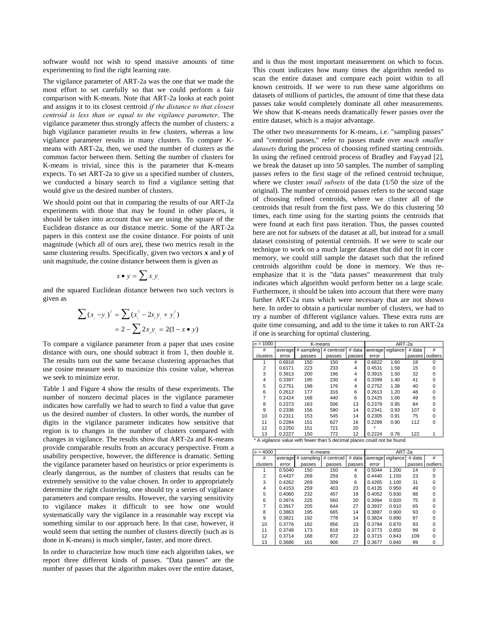software would not wish to spend massive amounts of time experimenting to find the right learning rate.

The vigilance parameter of ART-2a was the one that we made the most effort to set carefully so that we could perform a fair comparison with K-means. Note that ART-2a looks at each point and assigns it to its closest centroid *if the distance to that closest centroid is less than or equal to the vigilance parameter*. The vigilance parameter thus strongly affects the number of clusters: a high vigilance parameter results in few clusters, whereas a low vigilance parameter results in many clusters. To compare Kmeans with ART-2a, then, we used the number of clusters as the common factor between them. Setting the number of clusters for K-means is trivial, since this is the parameter that K-means expects. To set ART-2a to give us a specified number of clusters, we conducted a binary search to find a vigilance setting that would give us the desired number of clusters.

We should point out that in comparing the results of our ART-2a experiments with those that may be found in other places, it should be taken into account that we are using the square of the Euclidean distance as our distance metric. Some of the ART-2a papers in this context use the cosine distance. For points of unit magnitude (which all of ours are), these two metrics result in the same clustering results. Specifically, given two vectors *x* and *y* of unit magnitude, the cosine distance between them is given as

$$
x \bullet y = \sum x_i y_i
$$

and the squared Euclidean distance between two such vectors is given as

$$
\sum (x_i - y_i)^2 = \sum (x_i^2 - 2x_i y_i + y_i^2)
$$
  
= 2 -  $\sum 2x_i y_i = 2(1 - x \cdot y)$ 

To compare a vigilance parameter from a paper that uses cosine distance with ours, one should subtract it from 1, then double it. The results turn out the same because clustering approaches that use cosine measure seek to maximize this cosine value, whereas we seek to minimize error.

Table 1 and Figure 4 show the results of these experiments. The number of nonzero decimal places in the vigilance parameter indicates how carefully we had to search to find a value that gave us the desired number of clusters. In other words, the number of digits in the vigilance parameter indicates how sensitive that region is to changes in the number of clusters compared with changes in vigilance. The results show that ART-2a and K-means provide comparable results from an accuracy perspective. From a usability perspective, however, the difference is dramatic. Setting the vigilance parameter based on heuristics or prior experiments is clearly dangerous, as the number of clusters that results can be extremely sensitive to the value chosen. In order to appropriately determine the right clustering, one should try a series of vigilance parameters and compare results. However, the varying sensitivity to vigilance makes it difficult to see how one would systematically vary the vigilance in a reasonable way except via something similar to our approach here. In that case, however, it would seem that setting the number of clusters directly (such as is done in K-means) is much simpler, faster, and more direct.

In order to characterize how much time each algorithm takes, we report three different kinds of passes. "Data passes" are the number of passes that the algorithm makes over the entire dataset,

and is thus the most important measurement on which to focus. This count indicates how many times the algorithm needed to scan the entire dataset and compare each point within to all known centroids. If we were to run these same algorithms on datasets of millions of particles, the amount of time that these data passes take would completely dominate all other measurements. We show that K-means needs dramatically fewer passes over the entire dataset, which is a major advantage.

The other two measurements for K-means, i.e. "sampling passes" and "centroid passes," refer to passes made over *much smaller datasets* during the process of choosing refined starting centroids. In using the refined centroid process of Bradley and Fayyad [2], we break the dataset up into 50 samples. The number of sampling passes refers to the first stage of the refined centroid technique, where we cluster *small subsets* of the data (1/50 the size of the original). The number of centroid passes refers to the second stage of choosing refined centroids, where we cluster all of the centroids that result from the first pass. We do this clustering 50 times, each time using for the starting points the centroids that were found at each first pass iteration. Thus, the passes counted here are not for subsets of the dataset at all, but instead for a small dataset consisting of potential centroids. If we were to scale our technique to work on a much larger dataset that did not fit in core memory, we could still sample the dataset such that the refined centroids algorithm could be done in memory. We thus reemphasize that it is the "data passes" measurement that truly indicates which algorithm would perform better on a large scale. Furthermore, it should be taken into account that there were many further ART-2a runs which were necessary that are not shown here. In order to obtain a particular number of clusters, we had to try a number of different vigilance values. These extra runs are quite time consuming, and add to the time it takes to run ART-2a if one is searching for optimal clustering.

| $\sigma = 1000$ |         | K-means                                                                                                                   | ART-2a |        |        |                   |        |          |
|-----------------|---------|---------------------------------------------------------------------------------------------------------------------------|--------|--------|--------|-------------------|--------|----------|
| #               | average | # sampling # centroid                                                                                                     |        | # data |        | average vigilance | # data | #        |
| clusters        | error   | passes                                                                                                                    | passes | passes | error  |                   | passes | outliers |
|                 | 0.6818  | 150                                                                                                                       | 150    | 4      | 0.6822 | 1.60              | 18     | O        |
| $\overline{2}$  | 0.6171  | 223                                                                                                                       | 233    | 4      | 0.4531 | 1.58              | 15     | U        |
| 3               | 0.3913  | 200                                                                                                                       | 196    | 4      | 0.3915 | 1.50              | 32     |          |
| 4               | 0.3397  | 195                                                                                                                       | 230    | 4      | 0.3399 | 1.40              | 41     | $\Omega$ |
| 5               | 0.2751  | 198                                                                                                                       | 176    | 4      | 0.2752 | 1.38              | 40     |          |
| 6               | 0.2612  | 177                                                                                                                       | 316    | 6      | 0.2613 | 1.20              | 48     | n        |
| 7               | 0.2424  | 168                                                                                                                       | 440    | 6      | 0.2425 | 1.00              | 49     |          |
| 8               | 0.2373  | 163                                                                                                                       | 506    | 13     | 0.2379 | 0.95              | 84     | O        |
| 9               | 0.2336  | 156                                                                                                                       | 590    | 14     | 0.2341 | 0.93              | 107    | O        |
| 10              | 0.2311  | 153                                                                                                                       | 545    | 14     | 0.2305 | 0.91              | 75     | $\Omega$ |
| 11              | 0.2284  | 151                                                                                                                       | 627    | 16     | 0.2289 | 0.90              | 112    | $\Omega$ |
| 12              | 0.2250  | 151                                                                                                                       | 721    | 20     |        |                   |        |          |
| 13              | 0.2227  | 150                                                                                                                       | 772    | 12     | 0.2224 | 0.76              | 122    |          |
|                 |         | $\bullet$ . A continuous consistence contain decrees alones of the observation of the constant in the decree of $\bullet$ |        |        |        |                   |        |          |

A vigilance value with fewer than 5 decimal places could not be found.

| $\sigma = 4000$ |                       | K-means | ART-2a     |        |         |           |        |              |  |  |
|-----------------|-----------------------|---------|------------|--------|---------|-----------|--------|--------------|--|--|
| #               | # sampling<br>average |         | # centroid | # data | average | vigilance | # data | #            |  |  |
| clusters        | error                 | passes  | passes     | passes | error   |           | passes | outliers     |  |  |
| 1               | 0.5040                | 150     | 150        | 4      | 0.5044  | 1.200     | 14     | $\Omega$     |  |  |
| $\overline{2}$  | 0.4437                | 269     | 259        | 6      | 0.4440  | 1.150     | 23     | <sup>0</sup> |  |  |
| 3               | 0.4262                | 269     | 309        | 6      | 0.4265  | 1.100     | 31     | $\Omega$     |  |  |
| 4               | 0.4153                | 259     | 403        | 23     | 0.4135  | 0.950     | 49     | $\Omega$     |  |  |
| 5               | 0.4060                | 232     | 457        | 19     | 0.4052  | 0.930     | 88     | $\Omega$     |  |  |
| 6               | 0.3974                | 225     | 560        | 20     | 0.3994  | 0.920     | 75     | O            |  |  |
| $\overline{7}$  | 0.3917                | 205     | 644        | 27     | 0.3937  | 0.910     | 65     | $\Omega$     |  |  |
| 8               | 0.3863                | 195     | 665        | 14     | 0.3887  | 0.900     | 93     | $\Omega$     |  |  |
| 9               | 0.3821                | 192     | 778        | 14     | 0.3824  | 0.890     | 97     | O            |  |  |
| 10              | 0.3776                | 182     | 856        | 23     | 0.3784  | 0.870     | 93     | n            |  |  |
| 11              | 0.3748                | 173     | 818        | 19     | 0.3773  | 0.850     | 99     | O            |  |  |
| 12              | 0.3714                | 168     | 872        | 22     | 0.3715  | 0.843     | 109    | O            |  |  |
| 13              | 0.3686                | 161     | 906        | 27     | 0.3677  | 0.840     | 99     | 0            |  |  |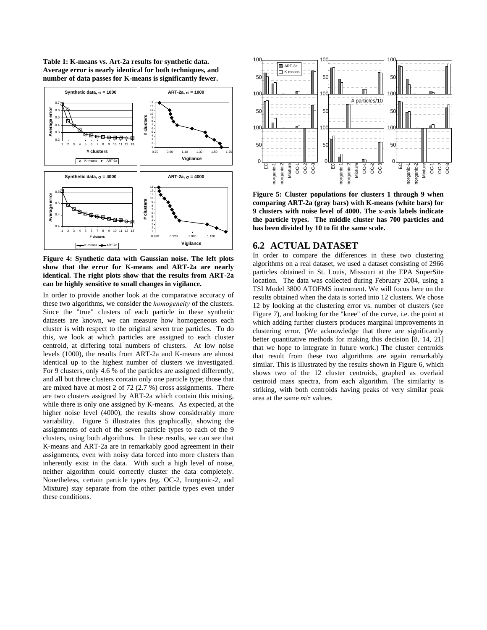**Table 1: K-means vs. Art-2a results for synthetic data. Average error is nearly identical for both techniques, and number of data passes for K-means is significantly fewer.** 



**Figure 4: Synthetic data with Gaussian noise. The left plots show that the error for K-means and ART-2a are nearly identical. The right plots show that the results from ART-2a can be highly sensitive to small changes in vigilance.** 

In order to provide another look at the comparative accuracy of these two algorithms, we consider the *homogeneity* of the clusters. Since the "true" clusters of each particle in these synthetic datasets are known, we can measure how homogeneous each cluster is with respect to the original seven true particles. To do this, we look at which particles are assigned to each cluster centroid, at differing total numbers of clusters. At low noise levels (1000), the results from ART-2a and K-means are almost identical up to the highest number of clusters we investigated. For 9 clusters, only 4.6 % of the particles are assigned differently, and all but three clusters contain only one particle type; those that are mixed have at most 2 of 72 (2.7 %) cross assignments. There are two clusters assigned by ART-2a which contain this mixing, while there is only one assigned by K-means. As expected, at the higher noise level (4000), the results show considerably more variability. Figure 5 illustrates this graphically, showing the assignments of each of the seven particle types to each of the 9 clusters, using both algorithms. In these results, we can see that K-means and ART-2a are in remarkably good agreement in their assignments, even with noisy data forced into more clusters than inherently exist in the data. With such a high level of noise, neither algorithm could correctly cluster the data completely. Nonetheless, certain particle types (eg. OC-2, Inorganic-2, and Mixture) stay separate from the other particle types even under these conditions.



**Figure 5: Cluster populations for clusters 1 through 9 when comparing ART-2a (gray bars) with K-means (white bars) for 9 clusters with noise level of 4000. The x-axis labels indicate the particle types. The middle cluster has 700 particles and has been divided by 10 to fit the same scale.** 

## **6.2 ACTUAL DATASET**

In order to compare the differences in these two clustering algorithms on a real dataset, we used a dataset consisting of 2966 particles obtained in St. Louis, Missouri at the EPA SuperSite location. The data was collected during February 2004, using a TSI Model 3800 ATOFMS instrument. We will focus here on the results obtained when the data is sorted into 12 clusters. We chose 12 by looking at the clustering error vs. number of clusters (see Figure 7), and looking for the "knee" of the curve, i.e. the point at which adding further clusters produces marginal improvements in clustering error. (We acknowledge that there are significantly better quantitative methods for making this decision [8, 14, 21] that we hope to integrate in future work.) The cluster centroids that result from these two algorithms are again remarkably similar. This is illustrated by the results shown in Figure 6, which shows two of the 12 cluster centroids, graphed as overlaid centroid mass spectra, from each algorithm. The similarity is striking, with both centroids having peaks of very similar peak area at the same *m*/*z* values.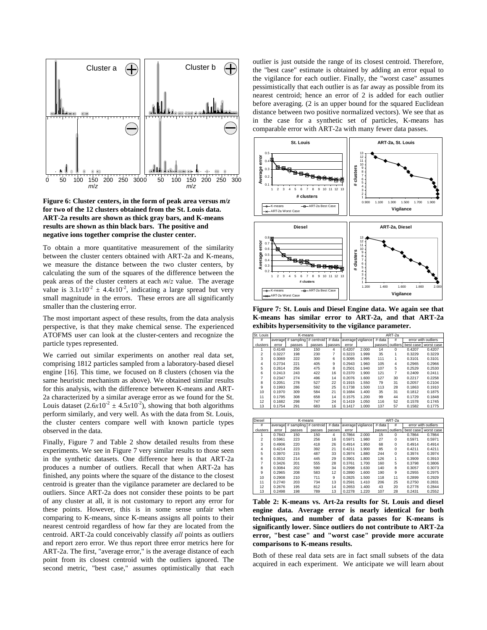

**Figure 6: Cluster centers, in the form of peak area versus** *m***/***z* **for two of the 12 clusters obtained from the St. Louis data. ART-2a results are shown as thick gray bars, and K-means results are shown as thin black bars. The positive and negative ions together comprise the cluster center.** 

To obtain a more quantitative measurement of the similarity between the cluster centers obtained with ART-2a and K-means, we measure the distance between the two cluster centers, by calculating the sum of the squares of the difference between the peak areas of the cluster centers at each *m*/*z* value. The average value is  $3.1x10^{-2} \pm 4.4x10^{-2}$ , indicating a large spread but very small magnitude in the errors. These errors are all significantly smaller than the clustering error.

The most important aspect of these results, from the data analysis perspective, is that they make chemical sense. The experienced ATOFMS user can look at the cluster-centers and recognize the particle types represented.

We carried out similar experiments on another real data set, comprising 1812 particles sampled from a laboratory-based diesel engine [16]. This time, we focused on 8 clusters (chosen via the same heuristic mechanism as above). We obtained similar results for this analysis, with the difference between K-means and ART-2a characterized by a similar average error as we found for the St. Louis dataset  $(2.6x10^2 \pm 4.5x10^2)$ , showing that both algorithms perform similarly, and very well. As with the data from St. Louis, the cluster centers compare well with known particle types observed in the data.

Finally, Figure 7 and Table 2 show detailed results from these experiments. We see in Figure 7 very similar results to those seen in the synthetic datasets. One difference here is that ART-2a produces a number of outliers. Recall that when ART-2a has finished, any points where the square of the distance to the closest centroid is greater than the vigilance parameter are declared to be outliers. Since ART-2a does not consider these points to be part of any cluster at all, it is not customary to report any error for these points. However, this is in some sense unfair when comparing to K-means, since K-means assigns all points to their nearest centroid regardless of how far they are located from the centroid. ART-2a could conceivably classify *all* points as outliers and report zero error. We thus report three error metrics here for ART-2a. The first, "average error," is the average distance of each point from its closest centroid with the outliers ignored. The second metric, "best case," assumes optimistically that each

outlier is just outside the range of its closest centroid. Therefore, the "best case" estimate is obtained by adding an error equal to the vigilance for each outlier. Finally, the "worst case" assumes pessimistically that each outlier is as far away as possible from its nearest centroid; hence an error of 2 is added for each outlier before averaging. (2 is an upper bound for the squared Euclidean distance between two positive normalized vectors). We see that as in the case for a synthetic set of particles, K-means has comparable error with ART-2a with many fewer data passes.



**Figure 7: St. Louis and Diesel Engine data. We again see that K-means has similar error to ART-2a, and that ART-2a exhibits hypersensitivity to the vigilance parameter.** 

| St. Louis      | K-means |                    |            |        | ART-2a |                   |        |                |           |                     |
|----------------|---------|--------------------|------------|--------|--------|-------------------|--------|----------------|-----------|---------------------|
| #              |         | average # sampling | # centroid | # data |        | average vigilance | # data | #              |           | error with outliers |
| clusters       | error   | passes             | passes     | passes | error  |                   | passes | outliers       | best case | worst case          |
|                | 0.4148  | 150                | 150        | 4      | 0.4207 | 2.000             | 14     | $\Omega$       | 0.4207    | 0.4207              |
| $\overline{c}$ | 0.3227  | 198                | 230        | 7      | 0.3223 | 1.999             | 35     |                | 0.3229    | 0.3229              |
| 3              | 0.3069  | 222                | 300        | 6      | 0.3095 | 1.995             | 111    |                | 0.3101    | 0.3101              |
| 4              | 0.2734  | 221                | 405        | 9      | 0.2943 | 1.960             | 105    | 4              | 0.2965    | 0.2966              |
| 5              | 0.2614  | 256                | 475        | 8      | 0.2501 | 1.940             | 107    | 5              | 0.2529    | 0.2530              |
| 6              | 0.2413  | 243                | 422        | 16     | 0.2370 | 1.900             | 121    | $\overline{7}$ | 0.2409    | 0.2411              |
| $\overline{7}$ | 0.2347  | 274                | 496        | 14     | 0.2076 | 1.600             | 127    | 30             | 0.2217    | 0.2258              |
| 8              | 0.2051  | 278                | 527        | 22     | 0.1915 | 1.550             | 79     | 31             | 0.2057    | 0.2104              |
| 9              | 0.1993  | 286                | 592        | 25     | 0.1738 | 1.500             | 113    | 28             | 0.1863    | 0.1910              |
| 10             | 0.1970  | 309                | 584        | 21     | 0.1684 | 1.400             | 35     | 31             | 0.1812    | 0.1875              |
| 11             | 0.1795  | 308                | 658        | 14     | 0.1575 | 1.200             | 99     | 44             | 0.1729    | 0.1848              |
| 12             | 0.1682  | 298                | 747        | 24     | 0.1419 | 1.050             | 116    | 52             | 0.1578    | 0.1745              |
| 13             | 0.1754  | 291                | 683        | 16     | 0.1417 | 1.000             | 137    | 57             | 0.1582    | 0.1775              |
|                |         |                    |            |        |        |                   |        |                |           |                     |

| <b>Diesel</b>  | K-means |              |            |        | ART-2a |                   |        |          |           |                     |
|----------------|---------|--------------|------------|--------|--------|-------------------|--------|----------|-----------|---------------------|
| #              | average | $#$ sampling | # centroid | # data |        | average vigilance | # data | #        |           | error with outliers |
| clusters       | error   | passes       | passes     | passes | error  |                   | passes | outliers | best case | worst case          |
|                | 0.7843  | 150          | 150        | 4      | 0.7864 | 2.000             | 15     | $\Omega$ | 0.7864    | 0.7864              |
| $\overline{2}$ | 0.5961  | 223          | 256        | 16     | 0.5971 | 1.980             | 27     | $\Omega$ | 0.5971    | 0.5971              |
| 3              | 0.4906  | 220          | 418        | 26     | 0.4914 | 1.950             | 68     | 0        | 0.4914    | 0.4914              |
| 4              | 0.4214  | 223          | 392        | 21     | 0.4211 | 1.900             | 85     | $\Omega$ | 0.4211    | 0.4211              |
| 5              | 0.3970  | 215          | 487        | 33     | 0.3974 | 1.880             | 244    | 0        | 0.3974    | 0.3974              |
| 6              | 0.3532  | 214          | 445        | 29     | 0.3901 | 1.800             | 126    |          | 0.3909    | 0.3910              |
| 7              | 0.3426  | 201          | 555        | 28     | 0.3761 | 1.700             | 160    | 5        | 0.3798    | 0.3806              |
| 8              | 0.3084  | 202          | 590        | 34     | 0.2998 | 1.630             | 140    | 8        | 0.3057    | 0.3073              |
| 9              | 0.2965  | 208          | 583        | 12     | 0.2890 | 1.600             | 190    | 9        | 0.2955    | 0.2975              |
| 10             | 0.2908  | 210          | 711        | 9      | 0.2825 | 1.500             | 118    | 11       | 0.2899    | 0.2929              |
| 11             | 0.2740  | 203          | 734        | 13     | 0.2591 | 1.410             | 206    | 25       | 0.2750    | 0.2831              |
| 12             | 0.2676  | 195          | 812        | 14     | 0.2653 | 1.400             | 43     | 20       | 0.2778    | 0.2844              |
| 13             | 0.2498  | 198          | 789        | 13     | 0.2278 | 1.220             | 107    | 28       | 0.2431    | 0.2552              |

**Table 2: K-means vs. Art-2a results for St. Louis and diesel engine data. Average error is nearly identical for both techniques, and number of data passes for K-means is significantly lower. Since outliers do not contribute to ART-2a error, "best case" and "worst case" provide more accurate comparisons to K-means results.** 

Both of these real data sets are in fact small subsets of the data acquired in each experiment. We anticipate we will learn about